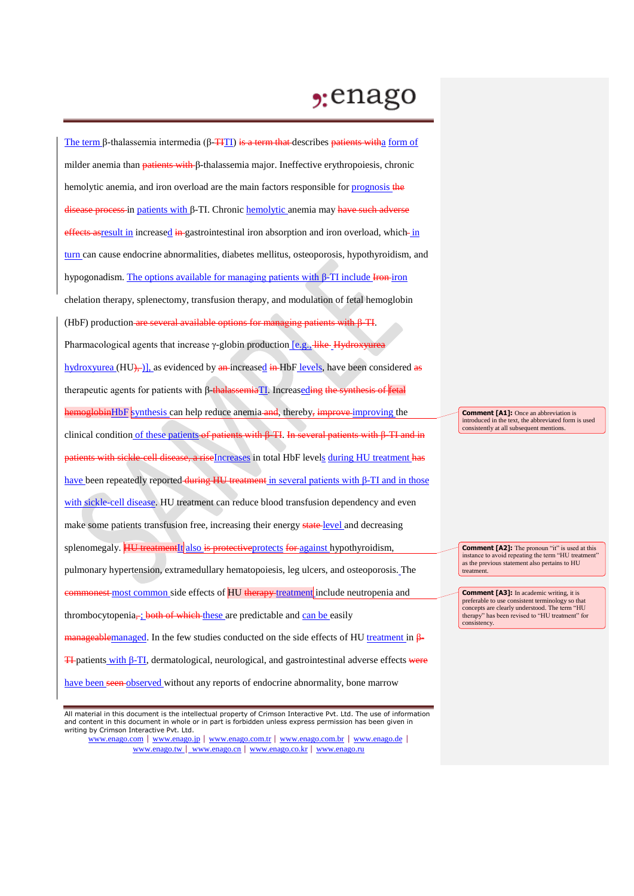## $2:$ enago

The term β-thalassemia intermedia (β- $\overline{H}$ TI) is a term that describes patients witha form of milder anemia than patients with β-thalassemia major. Ineffective erythropoiesis, chronic hemolytic anemia, and iron overload are the main factors responsible for *prognosis* the disease process in patients with β-TI. Chronic hemolytic anemia may have such adverse effects as result in increased in gastrointestinal iron absorption and iron overload, which in turn can cause endocrine abnormalities, diabetes mellitus, osteoporosis, hypothyroidism, and hypogonadism. The options available for managing patients with β-TI include  $\overline{H}$ chelation therapy, splenectomy, transfusion therapy, and modulation of fetal hemoglobin (HbF) production are several available options for managing patients with β-TI. Pharmacological agents that increase γ-globin production [e.g., like Hydroxyurea] hydroxyurea  $(HU)$ , as evidenced by  $\frac{a_n}{b_n}$  increased  $\frac{a_n}{b_n}$  HbF levels, have been considered  $\frac{a_n}{b_n}$ therapeutic agents for patients with β-thalassemiaTI. Increaseding the synthesis of fetal hemoglobinHbF synthesis can help reduce anemia and, thereby, improve improving the clinical condition of these patients of patients with β-TI. In several patients with β-TI and in patients with sickle-cell disease, a riseIncreases in total HbF levels during HU treatment has have been repeatedly reported during HU treatment in several patients with β-TI and in those with sickle-cell disease. HU treatment can reduce blood transfusion dependency and even make some patients transfusion free, increasing their energy state-level and decreasing splenomegaly. **HU** treatment<sup>It</sup> also is protective protects for against hypothyroidism, pulmonary hypertension, extramedullary hematopoiesis, leg ulcers, and osteoporosis. The **commonest** most common side effects of HU therapy treatment include neutropenia and thrombocytopenia, ; both of which these are predictable and can be easily manageablemanaged. In the few studies conducted on the side effects of HU treatment in β-**TI**-patients with β-TI, dermatological, neurological, and gastrointestinal adverse effects were have been seen observed without any reports of endocrine abnormality, bone marrow

www.enago.com | www.enago.jp | www.enago.com.tr | www.enago.com.br | www.enago.de | www.enago.tw | www.enago.cn | www.enago.co.kr | www.enago.ru

**Comment [A1]:** Once an abbreviation is introduced in the text, the abbreviated form is used consistently at all subsequent mentions.

**Comment [A2]:** The pronoun "it" is used at this  $\sum_{i=1}^{\infty}$  instance to avoid repeating the term "HU treatment". as the previous statement also pertains to HU treatment.

**Comment [A3]:** In academic writing, it is preferable to use consistent terminology so that concepts are clearly understood. The term "HU therapy" has been revised to "HU treatment" for consistency.

All material in this document is the intellectual property of Crimson Interactive Pvt. Ltd. The use of information and content in this document in whole or in part is forbidden unless express permission has been given in writing by Crimson Interactive Pvt. Ltd.